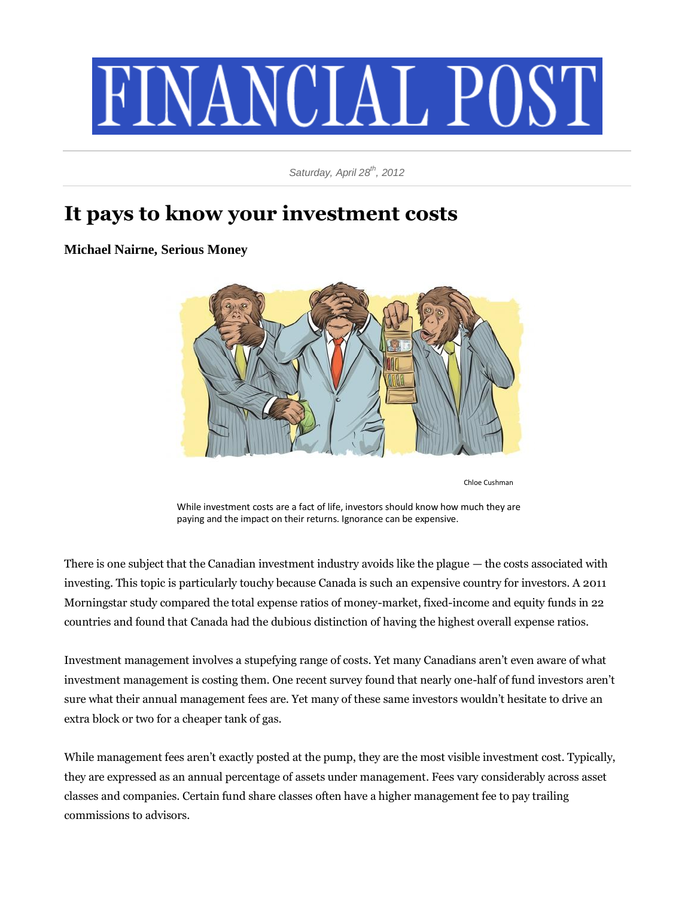

*Saturday, April 28th, 2012*

## **It pays to know your investment costs**

## **Michael Nairne, Serious Money**



Chloe Cushman

While investment costs are a fact of life, investors should know how much they are paying and the impact on their returns. Ignorance can be expensive.

There is one subject that the Canadian investment industry avoids like the plague — the costs associated with investing. This topic is particularly touchy because Canada is such an expensive country for investors. A 2011 Morningstar study compared the total expense ratios of money-market, fixed-income and equity funds in 22 countries and found that Canada had the dubious distinction of having the highest overall expense ratios.

Investment management involves a stupefying range of costs. Yet many Canadians aren't even aware of what investment management is costing them. One recent survey found that nearly one-half of fund investors aren't sure what their annual management fees are. Yet many of these same investors wouldn't hesitate to drive an extra block or two for a cheaper tank of gas.

While management fees aren't exactly posted at the pump, they are the most visible investment cost. Typically, they are expressed as an annual percentage of assets under management. Fees vary considerably across asset classes and companies. Certain fund share classes often have a higher management fee to pay trailing commissions to advisors.